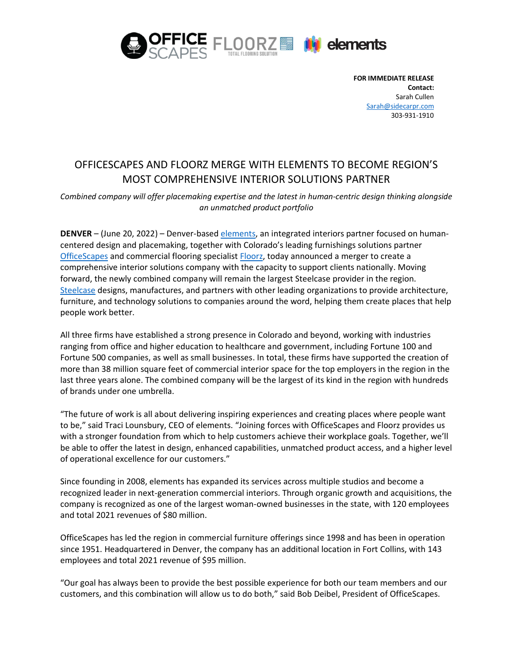

**FOR IMMEDIATE RELEASE Contact:** Sarah Cullen [Sarah@sidecarpr.com](mailto:Sarah@sidecarpr.com) 303-931-1910

# OFFICESCAPES AND FLOORZ MERGE WITH ELEMENTS TO BECOME REGION'S MOST COMPREHENSIVE INTERIOR SOLUTIONS PARTNER

*Combined company will offer placemaking expertise and the latest in human-centric design thinking alongside an unmatched product portfolio*

**DENVER** – (June 20, 2022) – Denver-base[d elements,](https://www.workplaceelements.com/) an integrated interiors partner focused on humancentered design and placemaking, together with Colorado's leading furnishings solutions partner [OfficeScapes](http://www.officescapes.com/) and commercial flooring specialist [Floorz,](http://www.floorz.com/) today announced a merger to create a comprehensive interior solutions company with the capacity to support clients nationally. Moving forward, the newly combined company will remain the largest Steelcase provider in the region. [Steelcase](https://www.steelcase.com/) designs, manufactures, and partners with other leading organizations to provide architecture, furniture, and technology solutions to companies around the word, helping them create places that help people work better.

All three firms have established a strong presence in Colorado and beyond, working with industries ranging from office and higher education to healthcare and government, including Fortune 100 and Fortune 500 companies, as well as small businesses. In total, these firms have supported the creation of more than 38 million square feet of commercial interior space for the top employers in the region in the last three years alone. The combined company will be the largest of its kind in the region with hundreds of brands under one umbrella.

"The future of work is all about delivering inspiring experiences and creating places where people want to be," said Traci Lounsbury, CEO of elements. "Joining forces with OfficeScapes and Floorz provides us with a stronger foundation from which to help customers achieve their workplace goals. Together, we'll be able to offer the latest in design, enhanced capabilities, unmatched product access, and a higher level of operational excellence for our customers."

Since founding in 2008, elements has expanded its services across multiple studios and become a recognized leader in next-generation commercial interiors. Through organic growth and acquisitions, the company is recognized as one of the largest woman-owned businesses in the state, with 120 employees and total 2021 revenues of \$80 million.

OfficeScapes has led the region in commercial furniture offerings since 1998 and has been in operation since 1951. Headquartered in Denver, the company has an additional location in Fort Collins, with 143 employees and total 2021 revenue of \$95 million.

"Our goal has always been to provide the best possible experience for both our team members and our customers, and this combination will allow us to do both," said Bob Deibel, President of OfficeScapes.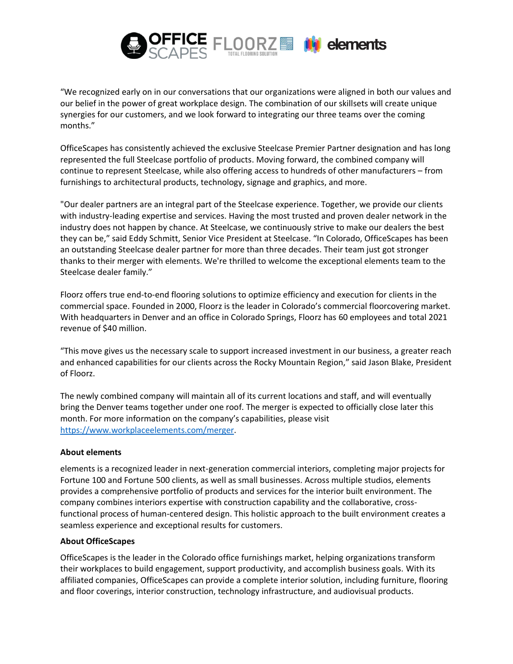

"We recognized early on in our conversations that our organizations were aligned in both our values and our belief in the power of great workplace design. The combination of our skillsets will create unique synergies for our customers, and we look forward to integrating our three teams over the coming months."

OfficeScapes has consistently achieved the exclusive Steelcase Premier Partner designation and has long represented the full Steelcase portfolio of products. Moving forward, the combined company will continue to represent Steelcase, while also offering access to hundreds of other manufacturers – from furnishings to architectural products, technology, signage and graphics, and more.

"Our dealer partners are an integral part of the Steelcase experience. Together, we provide our clients with industry-leading expertise and services. Having the most trusted and proven dealer network in the industry does not happen by chance. At Steelcase, we continuously strive to make our dealers the best they can be," said Eddy Schmitt, Senior Vice President at Steelcase. "In Colorado, OfficeScapes has been an outstanding Steelcase dealer partner for more than three decades. Their team just got stronger thanks to their merger with elements. We're thrilled to welcome the exceptional elements team to the Steelcase dealer family."

Floorz offers true end-to-end flooring solutions to optimize efficiency and execution for clients in the commercial space. Founded in 2000, Floorz is the leader in Colorado's commercial floorcovering market. With headquarters in Denver and an office in Colorado Springs, Floorz has 60 employees and total 2021 revenue of \$40 million.

"This move gives us the necessary scale to support increased investment in our business, a greater reach and enhanced capabilities for our clients across the Rocky Mountain Region," said Jason Blake, President of Floorz.

The newly combined company will maintain all of its current locations and staff, and will eventually bring the Denver teams together under one roof. The merger is expected to officially close later this month. For more information on the company's capabilities, please visit [https://www.workplaceelements.com/merger.](https://www.workplaceelements.com/merger/)

# **About elements**

elements is a recognized leader in next-generation commercial interiors, completing major projects for Fortune 100 and Fortune 500 clients, as well as small businesses. Across multiple studios, elements provides a comprehensive portfolio of products and services for the interior built environment. The company combines interiors expertise with construction capability and the collaborative, crossfunctional process of human-centered design. This holistic approach to the built environment creates a seamless experience and exceptional results for customers.

#### **About OfficeScapes**

OfficeScapes is the leader in the Colorado office furnishings market, helping organizations transform their workplaces to build engagement, support productivity, and accomplish business goals. With its affiliated companies, OfficeScapes can provide a complete interior solution, including furniture, flooring and floor coverings, interior construction, technology infrastructure, and audiovisual products.